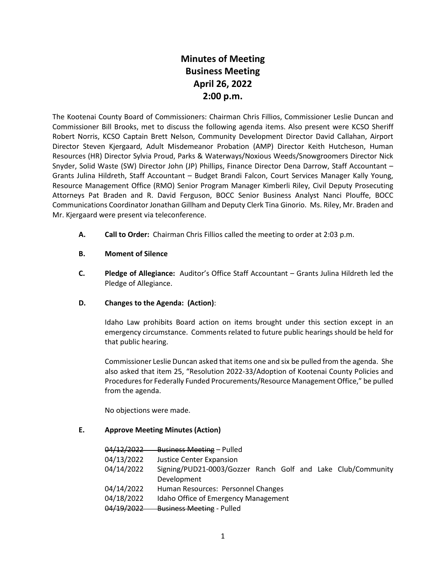# **Minutes of Meeting Business Meeting April 26, 2022 2:00 p.m.**

The Kootenai County Board of Commissioners: Chairman Chris Fillios, Commissioner Leslie Duncan and Commissioner Bill Brooks, met to discuss the following agenda items. Also present were KCSO Sheriff Robert Norris, KCSO Captain Brett Nelson, Community Development Director David Callahan, Airport Director Steven Kjergaard, Adult Misdemeanor Probation (AMP) Director Keith Hutcheson, Human Resources (HR) Director Sylvia Proud, Parks & Waterways/Noxious Weeds/Snowgroomers Director Nick Snyder, Solid Waste (SW) Director John (JP) Phillips, Finance Director Dena Darrow, Staff Accountant – Grants Julina Hildreth, Staff Accountant – Budget Brandi Falcon, Court Services Manager Kally Young, Resource Management Office (RMO) Senior Program Manager Kimberli Riley, Civil Deputy Prosecuting Attorneys Pat Braden and R. David Ferguson, BOCC Senior Business Analyst Nanci Plouffe, BOCC Communications Coordinator Jonathan Gillham and Deputy Clerk Tina Ginorio. Ms. Riley, Mr. Braden and Mr. Kjergaard were present via teleconference.

**A. Call to Order:** Chairman Chris Fillios called the meeting to order at 2:03 p.m.

#### **B. Moment of Silence**

**C. Pledge of Allegiance:** Auditor's Office Staff Accountant – Grants Julina Hildreth led the Pledge of Allegiance.

#### **D. Changes to the Agenda: (Action)**:

Idaho Law prohibits Board action on items brought under this section except in an emergency circumstance. Comments related to future public hearings should be held for that public hearing.

Commissioner Leslie Duncan asked that items one and six be pulled from the agenda. She also asked that item 25, "Resolution 2022-33/Adoption of Kootenai County Policies and Procedures for Federally Funded Procurements/Resource Management Office," be pulled from the agenda.

No objections were made.

#### **E. Approve Meeting Minutes (Action)**

|            | 04/12/2022 Business Meeting - Pulled                         |
|------------|--------------------------------------------------------------|
| 04/13/2022 | <b>Justice Center Expansion</b>                              |
| 04/14/2022 | Signing/PUD21-0003/Gozzer Ranch Golf and Lake Club/Community |
|            | Development                                                  |
| 04/14/2022 | Human Resources: Personnel Changes                           |
| 04/18/2022 | Idaho Office of Emergency Management                         |
| 04/19/2022 | <b>Business Meeting - Pulled</b>                             |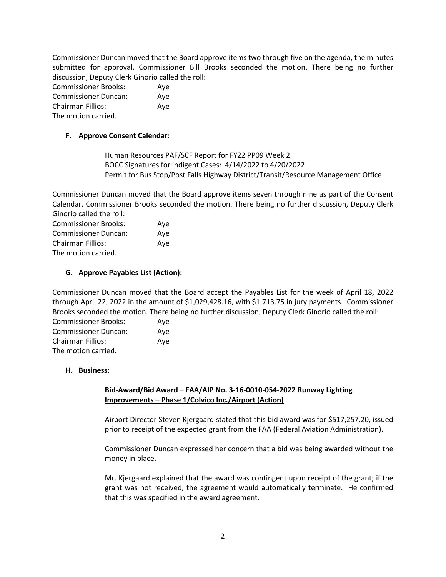Commissioner Duncan moved that the Board approve items two through five on the agenda, the minutes submitted for approval. Commissioner Bill Brooks seconded the motion. There being no further discussion, Deputy Clerk Ginorio called the roll:

| <b>Commissioner Brooks:</b> | Aye |
|-----------------------------|-----|
| <b>Commissioner Duncan:</b> | Ave |
| <b>Chairman Fillios:</b>    | Aye |
| The motion carried.         |     |

#### **F. Approve Consent Calendar:**

Human Resources PAF/SCF Report for FY22 PP09 Week 2 BOCC Signatures for Indigent Cases: 4/14/2022 to 4/20/2022 Permit for Bus Stop/Post Falls Highway District/Transit/Resource Management Office

Commissioner Duncan moved that the Board approve items seven through nine as part of the Consent Calendar. Commissioner Brooks seconded the motion. There being no further discussion, Deputy Clerk Ginorio called the roll:

| <b>Commissioner Brooks:</b> | Ave |
|-----------------------------|-----|
| <b>Commissioner Duncan:</b> | Ave |
| <b>Chairman Fillios:</b>    | Ave |
| The motion carried.         |     |

# **G. Approve Payables List (Action):**

Commissioner Duncan moved that the Board accept the Payables List for the week of April 18, 2022 through April 22, 2022 in the amount of \$1,029,428.16, with \$1,713.75 in jury payments. Commissioner Brooks seconded the motion. There being no further discussion, Deputy Clerk Ginorio called the roll:

| <b>Commissioner Brooks:</b> | Ave |
|-----------------------------|-----|
| <b>Commissioner Duncan:</b> | Ave |
| Chairman Fillios:           | Ave |
| The motion carried.         |     |

#### **H. Business:**

## **Bid-Award/Bid Award – FAA/AIP No. 3-16-0010-054-2022 Runway Lighting Improvements – Phase 1/Colvico Inc./Airport (Action)**

Airport Director Steven Kjergaard stated that this bid award was for \$517,257.20, issued prior to receipt of the expected grant from the FAA (Federal Aviation Administration).

Commissioner Duncan expressed her concern that a bid was being awarded without the money in place.

Mr. Kjergaard explained that the award was contingent upon receipt of the grant; if the grant was not received, the agreement would automatically terminate. He confirmed that this was specified in the award agreement.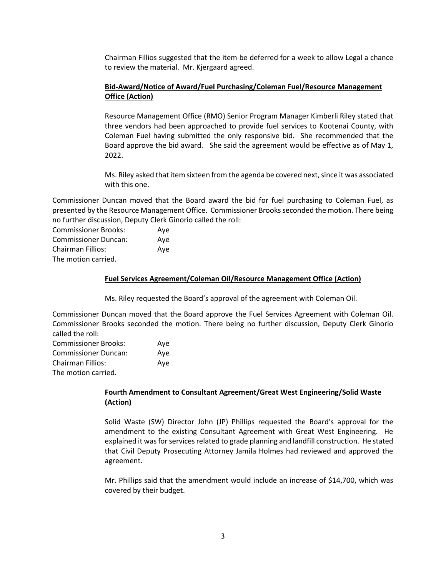Chairman Fillios suggested that the item be deferred for a week to allow Legal a chance to review the material. Mr. Kjergaard agreed.

## **Bid-Award/Notice of Award/Fuel Purchasing/Coleman Fuel/Resource Management Office (Action)**

Resource Management Office (RMO) Senior Program Manager Kimberli Riley stated that three vendors had been approached to provide fuel services to Kootenai County, with Coleman Fuel having submitted the only responsive bid. She recommended that the Board approve the bid award. She said the agreement would be effective as of May 1, 2022.

Ms. Riley asked that item sixteen from the agenda be covered next, since it was associated with this one.

Commissioner Duncan moved that the Board award the bid for fuel purchasing to Coleman Fuel, as presented by the Resource Management Office. Commissioner Brooks seconded the motion. There being no further discussion, Deputy Clerk Ginorio called the roll:

Commissioner Brooks: Aye Commissioner Duncan: Aye Chairman Fillios: Aye The motion carried.

#### **Fuel Services Agreement/Coleman Oil/Resource Management Office (Action)**

Ms. Riley requested the Board's approval of the agreement with Coleman Oil.

Commissioner Duncan moved that the Board approve the Fuel Services Agreement with Coleman Oil. Commissioner Brooks seconded the motion. There being no further discussion, Deputy Clerk Ginorio called the roll:

| <b>Commissioner Brooks:</b> | Aye |
|-----------------------------|-----|
| <b>Commissioner Duncan:</b> | Aye |
| Chairman Fillios:           | Ave |
| The motion carried.         |     |

#### **Fourth Amendment to Consultant Agreement/Great West Engineering/Solid Waste (Action)**

Solid Waste (SW) Director John (JP) Phillips requested the Board's approval for the amendment to the existing Consultant Agreement with Great West Engineering. He explained it was for services related to grade planning and landfill construction. He stated that Civil Deputy Prosecuting Attorney Jamila Holmes had reviewed and approved the agreement.

Mr. Phillips said that the amendment would include an increase of \$14,700, which was covered by their budget.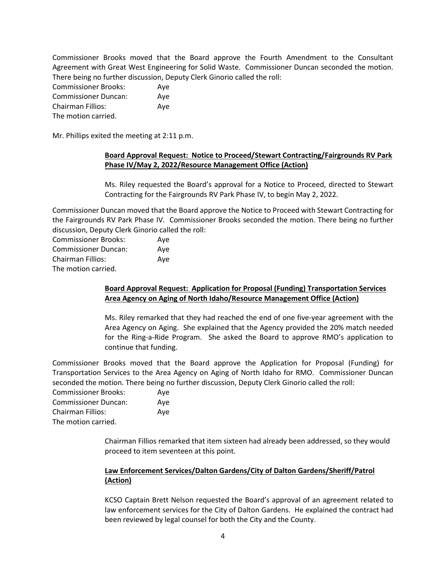Commissioner Brooks moved that the Board approve the Fourth Amendment to the Consultant Agreement with Great West Engineering for Solid Waste. Commissioner Duncan seconded the motion. There being no further discussion, Deputy Clerk Ginorio called the roll:

| <b>Commissioner Brooks:</b> | Ave |
|-----------------------------|-----|
| <b>Commissioner Duncan:</b> | Ave |
| <b>Chairman Fillios:</b>    | Ave |
| The motion carried.         |     |

Mr. Phillips exited the meeting at 2:11 p.m.

## **Board Approval Request: Notice to Proceed/Stewart Contracting/Fairgrounds RV Park Phase IV/May 2, 2022/Resource Management Office (Action)**

Ms. Riley requested the Board's approval for a Notice to Proceed, directed to Stewart Contracting for the Fairgrounds RV Park Phase IV, to begin May 2, 2022.

Commissioner Duncan moved that the Board approve the Notice to Proceed with Stewart Contracting for the Fairgrounds RV Park Phase IV. Commissioner Brooks seconded the motion. There being no further discussion, Deputy Clerk Ginorio called the roll:

| <b>Commissioner Brooks:</b> | Aye |
|-----------------------------|-----|
| <b>Commissioner Duncan:</b> | Ave |
| <b>Chairman Fillios:</b>    | Aye |
| The motion carried.         |     |

## **Board Approval Request: Application for Proposal (Funding) Transportation Services Area Agency on Aging of North Idaho/Resource Management Office (Action)**

Ms. Riley remarked that they had reached the end of one five-year agreement with the Area Agency on Aging. She explained that the Agency provided the 20% match needed for the Ring-a-Ride Program. She asked the Board to approve RMO's application to continue that funding.

Commissioner Brooks moved that the Board approve the Application for Proposal (Funding) for Transportation Services to the Area Agency on Aging of North Idaho for RMO. Commissioner Duncan seconded the motion. There being no further discussion, Deputy Clerk Ginorio called the roll:

| <b>Commissioner Brooks:</b> | Ave |
|-----------------------------|-----|
| <b>Commissioner Duncan:</b> | Ave |
| Chairman Fillios:           | Ave |
| The motion carried.         |     |

Chairman Fillios remarked that item sixteen had already been addressed, so they would proceed to item seventeen at this point.

# **Law Enforcement Services/Dalton Gardens/City of Dalton Gardens/Sheriff/Patrol (Action)**

KCSO Captain Brett Nelson requested the Board's approval of an agreement related to law enforcement services for the City of Dalton Gardens. He explained the contract had been reviewed by legal counsel for both the City and the County.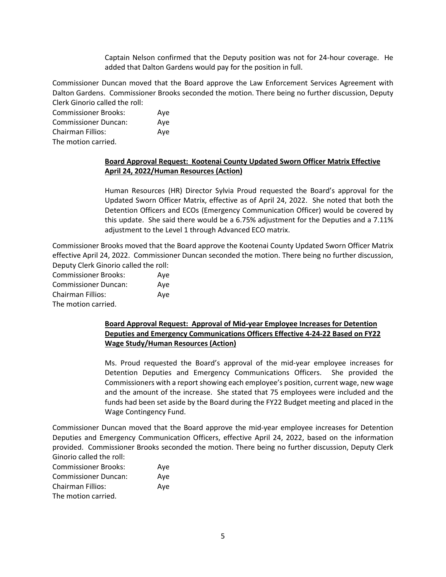Captain Nelson confirmed that the Deputy position was not for 24-hour coverage. He added that Dalton Gardens would pay for the position in full.

Commissioner Duncan moved that the Board approve the Law Enforcement Services Agreement with Dalton Gardens. Commissioner Brooks seconded the motion. There being no further discussion, Deputy Clerk Ginorio called the roll:

| <b>Commissioner Brooks:</b> | Ave |
|-----------------------------|-----|
| <b>Commissioner Duncan:</b> | Ave |
| <b>Chairman Fillios:</b>    | Ave |
| The motion carried.         |     |

#### **Board Approval Request: Kootenai County Updated Sworn Officer Matrix Effective April 24, 2022/Human Resources (Action)**

Human Resources (HR) Director Sylvia Proud requested the Board's approval for the Updated Sworn Officer Matrix, effective as of April 24, 2022. She noted that both the Detention Officers and ECOs (Emergency Communication Officer) would be covered by this update. She said there would be a 6.75% adjustment for the Deputies and a 7.11% adjustment to the Level 1 through Advanced ECO matrix.

Commissioner Brooks moved that the Board approve the Kootenai County Updated Sworn Officer Matrix effective April 24, 2022. Commissioner Duncan seconded the motion. There being no further discussion, Deputy Clerk Ginorio called the roll:

| <b>Commissioner Brooks:</b> | Aye |
|-----------------------------|-----|
| <b>Commissioner Duncan:</b> | Ave |
| Chairman Fillios:           | Ave |
| The motion carried.         |     |

#### **Board Approval Request: Approval of Mid-year Employee Increases for Detention Deputies and Emergency Communications Officers Effective 4-24-22 Based on FY22 Wage Study/Human Resources (Action)**

Ms. Proud requested the Board's approval of the mid-year employee increases for Detention Deputies and Emergency Communications Officers. She provided the Commissioners with a report showing each employee's position, current wage, new wage and the amount of the increase. She stated that 75 employees were included and the funds had been set aside by the Board during the FY22 Budget meeting and placed in the Wage Contingency Fund.

Commissioner Duncan moved that the Board approve the mid-year employee increases for Detention Deputies and Emergency Communication Officers, effective April 24, 2022, based on the information provided. Commissioner Brooks seconded the motion. There being no further discussion, Deputy Clerk Ginorio called the roll:

| <b>Commissioner Brooks:</b> | Ave |
|-----------------------------|-----|
| <b>Commissioner Duncan:</b> | Ave |
| Chairman Fillios:           | Ave |
| The motion carried.         |     |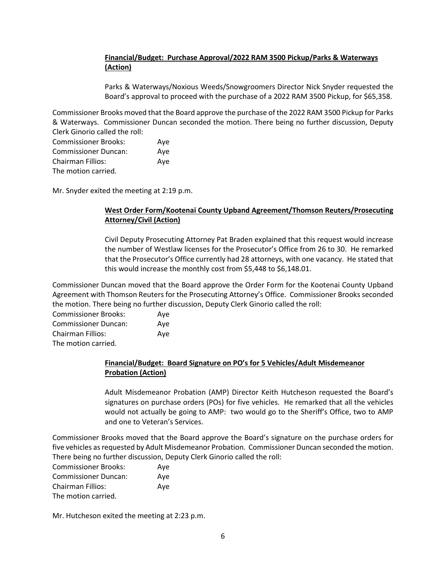# **Financial/Budget: Purchase Approval/2022 RAM 3500 Pickup/Parks & Waterways (Action)**

Parks & Waterways/Noxious Weeds/Snowgroomers Director Nick Snyder requested the Board's approval to proceed with the purchase of a 2022 RAM 3500 Pickup, for \$65,358.

Commissioner Brooks moved that the Board approve the purchase of the 2022 RAM 3500 Pickup for Parks & Waterways. Commissioner Duncan seconded the motion. There being no further discussion, Deputy Clerk Ginorio called the roll:

| <b>Commissioner Brooks:</b> | Ave |
|-----------------------------|-----|
| <b>Commissioner Duncan:</b> | Ave |
| <b>Chairman Fillios:</b>    | Aye |
| The motion carried.         |     |

Mr. Snyder exited the meeting at 2:19 p.m.

# **West Order Form/Kootenai County Upband Agreement/Thomson Reuters/Prosecuting Attorney/Civil (Action)**

Civil Deputy Prosecuting Attorney Pat Braden explained that this request would increase the number of Westlaw licenses for the Prosecutor's Office from 26 to 30. He remarked that the Prosecutor's Office currently had 28 attorneys, with one vacancy. He stated that this would increase the monthly cost from \$5,448 to \$6,148.01.

Commissioner Duncan moved that the Board approve the Order Form for the Kootenai County Upband Agreement with Thomson Reuters for the Prosecuting Attorney's Office. Commissioner Brooks seconded the motion. There being no further discussion, Deputy Clerk Ginorio called the roll:

| <b>Commissioner Brooks:</b> | Ave |
|-----------------------------|-----|
| <b>Commissioner Duncan:</b> | Ave |
| <b>Chairman Fillios:</b>    | Ave |
| The motion carried.         |     |

## **Financial/Budget: Board Signature on PO's for 5 Vehicles/Adult Misdemeanor Probation (Action)**

Adult Misdemeanor Probation (AMP) Director Keith Hutcheson requested the Board's signatures on purchase orders (POs) for five vehicles. He remarked that all the vehicles would not actually be going to AMP: two would go to the Sheriff's Office, two to AMP and one to Veteran's Services.

Commissioner Brooks moved that the Board approve the Board's signature on the purchase orders for five vehicles as requested by Adult Misdemeanor Probation. Commissioner Duncan seconded the motion. There being no further discussion, Deputy Clerk Ginorio called the roll:

| <b>Commissioner Brooks:</b> | Aye |
|-----------------------------|-----|
| <b>Commissioner Duncan:</b> | Aye |
| <b>Chairman Fillios:</b>    | Aye |
| The motion carried.         |     |

Mr. Hutcheson exited the meeting at 2:23 p.m.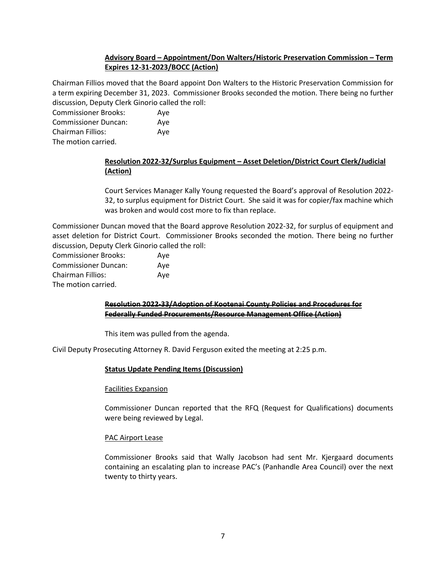## **Advisory Board – Appointment/Don Walters/Historic Preservation Commission – Term Expires 12-31-2023/BOCC (Action)**

Chairman Fillios moved that the Board appoint Don Walters to the Historic Preservation Commission for a term expiring December 31, 2023. Commissioner Brooks seconded the motion. There being no further discussion, Deputy Clerk Ginorio called the roll:

| <b>Commissioner Brooks:</b> | Ave |
|-----------------------------|-----|
| <b>Commissioner Duncan:</b> | Ave |
| Chairman Fillios:           | Ave |
| The motion carried.         |     |

## **Resolution 2022-32/Surplus Equipment – Asset Deletion/District Court Clerk/Judicial (Action)**

Court Services Manager Kally Young requested the Board's approval of Resolution 2022- 32, to surplus equipment for District Court. She said it was for copier/fax machine which was broken and would cost more to fix than replace.

Commissioner Duncan moved that the Board approve Resolution 2022-32, for surplus of equipment and asset deletion for District Court. Commissioner Brooks seconded the motion. There being no further discussion, Deputy Clerk Ginorio called the roll:

| <b>Commissioner Brooks:</b> | Aye |
|-----------------------------|-----|
| <b>Commissioner Duncan:</b> | Ave |
| <b>Chairman Fillios:</b>    | Ave |
| The motion carried.         |     |

## **Resolution 2022-33/Adoption of Kootenai County Policies and Procedures for Federally Funded Procurements/Resource Management Office (Action)**

This item was pulled from the agenda.

Civil Deputy Prosecuting Attorney R. David Ferguson exited the meeting at 2:25 p.m.

#### **Status Update Pending Items (Discussion)**

#### Facilities Expansion

Commissioner Duncan reported that the RFQ (Request for Qualifications) documents were being reviewed by Legal.

#### PAC Airport Lease

Commissioner Brooks said that Wally Jacobson had sent Mr. Kjergaard documents containing an escalating plan to increase PAC's (Panhandle Area Council) over the next twenty to thirty years.